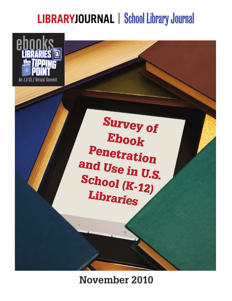# **LIBRARYJOURNAL | School Library Journal**



**Survey of** Ebook Penetration and Use in U.S. School (K-12) Libraries

**November 2010**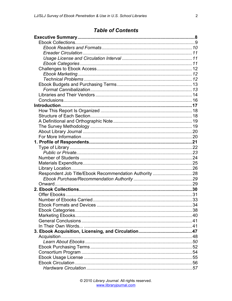## **Table of Contents**

| Respondent Job Title/Ebook Recommendation Authority 28 |     |
|--------------------------------------------------------|-----|
|                                                        |     |
|                                                        |     |
|                                                        |     |
|                                                        |     |
|                                                        |     |
|                                                        | .34 |
|                                                        |     |
|                                                        |     |
|                                                        |     |
|                                                        |     |
|                                                        |     |
|                                                        |     |
|                                                        |     |
|                                                        |     |
|                                                        |     |
|                                                        |     |
|                                                        |     |
|                                                        |     |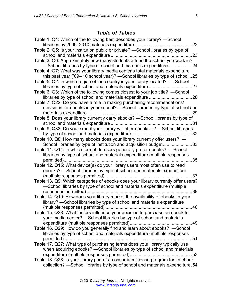# *Table of Tables*

| Table 1. Q4: Which of the following best describes your library? —School                                                                                                   |
|----------------------------------------------------------------------------------------------------------------------------------------------------------------------------|
| Table 2: Q5: Is your institution public or private? -School libraries by type of<br>23                                                                                     |
| Table 3. Q6: Approximately how many students attend the school you work in?<br>-School libraries by type of school and materials expenditure24                             |
| Table 4. Q7: What was your library media center's total materials expenditure<br>this past year ('09-'10 school year)? -School libraries by type of school 25              |
| Table 5. Q2: In which region of the country is your library located? — School                                                                                              |
| Table 6. Q3: Which of the following comes closest to your job title? —School                                                                                               |
| Table 7. Q22: Do you have a role in making purchasing recommendations/<br>decisions for ebooks in your school? - School libraries by type of school and<br>. 29            |
| Table 8: Does your library currently carry ebooks? - School libraries by type of                                                                                           |
| Table 9. Q33: Do you expect your library will offer ebooks? - School libraries                                                                                             |
| Table 10. Q8: How many ebooks does your library currently offer users? -<br>School libraries by type of institution and acquisition budget33                               |
| Table 11. Q14: In which format do users generally prefer ebooks? - School<br>libraries by type of school and materials expenditure (multiple responses<br>35<br>permitted) |
| Table 12. Q15: What device(s) do your library users most often use to read<br>ebooks? - School libraries by type of school and materials expenditure                       |
| Table 13. Q9: Which categories of ebooks does your library currently offer users?                                                                                          |
| -School libraries by type of school and materials expenditure (multiple<br>39                                                                                              |
| Table 14. Q10: How does your library market the availability of ebooks in your<br>library? — School libraries by type of school and materials expenditure                  |
| Table 15. Q28: What factors influence your decision to purchase an ebook for<br>your media center? - School libraries by type of school and materials                      |
| Table 16. Q29: How do you generally find and learn about ebooks? - School                                                                                                  |
| libraries by type of school and materials expenditure (multiple responses                                                                                                  |
| Table 17. Q27: What type of purchasing terms does your library typically use<br>when acquiring ebooks? - School libraries by type of school and materials                  |
| Table 18. Q28: Is your library part of a consortium license program for its ebook<br>collection? - School libraries by type of school and materials expenditure.54         |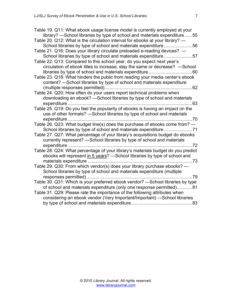| Table 19. Q11: What ebook usage license model is currently employed at your      |
|----------------------------------------------------------------------------------|
| library? -School libraries by type of school and materials expenditure 55        |
| Table 20. Q12: What is the circulation interval for ebooks at your library? —    |
| School libraries by type of school and materials expenditure 56                  |
| Table 21. Q16: Does your library circulate preloaded e-reading devices? —        |
| School libraries by type of school and materials expenditure 57                  |
| Table 22. Q13: Compared to this school year, do you expect next year's           |
| circulation of ebook titles to increase, stay the same or decrease? —School      |
| 60                                                                               |
| Table 23. Q18: What hinders the public from reading your media center's ebook    |
| content? - School libraries by type of school and materials expenditure          |
|                                                                                  |
| Table 24. Q20: How often do your users report technical problems when            |
| downloading an ebook? - School libraries by type of school and materials         |
| 63                                                                               |
| Table 25. Q19: Do you feel the popularity of ebooks is having an impact on the   |
| use of other formats? - School libraries by type of school and materials         |
| expenditure<br>$\dots 70$                                                        |
| Table 26. Q23: What budget line(s) does the purchase of ebooks come from? -      |
|                                                                                  |
| Table 27. Q27: What percentage of your library's acquisitions budget do ebooks   |
| currently represent? - School libraries by type of school and materials          |
| . 72                                                                             |
| Table 28. Q24: What percentage of your library's materials budget do you predict |
| ebooks will represent in 5 years? - School libraries by type of school and       |
| .73                                                                              |
| Table 29. Q30: From which vendor(s) does your library purchase ebooks? -         |
| School libraries by type of school and materials expenditure (multiple           |
| responses permitted)<br>.79                                                      |
| Table 30. Q31: Which is your preferred ebook vendor? - School libraries by type  |
| of school and materials expenditure (only one response permitted)81              |
| Table 31. Q29: Please rate the importance of the following attributes when       |
| considering an ebook vendor (Very Important/Important) -School libraries         |
| .83                                                                              |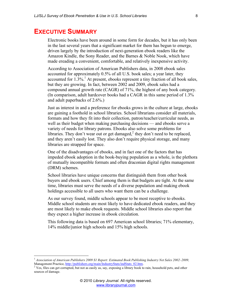### **EXECUTIVE SUMMARY**

Electronic books have been around in some form for decades, but it has only been in the last several years that a significant market for them has begun to emerge, driven largely by the introduction of next-generation ebook readers like the Amazon Kindle, the Sony Reader, and the Barnes & Noble Nook, which have made ereading a convenient, comfortable, and relatively inexpensive activity.

According to Association of American Publishers data, in 2008 ebook sales accounted for approximately 0.5% of all U.S. book sales; a year later, they accounted for  $1.3\%$ .<sup>1</sup> At present, ebooks represent a tiny fraction of all book sales, but they are growing. In fact, between 2002 and 2009, ebook sales had a compound annual growth rate (CAGR) of 71%, the highest of any book category. (In comparison, adult hardcover books had a CAGR in this same period of 1.3% and adult paperbacks of 2.6%.)

Just as interest in and a preference for ebooks grows in the culture at large, ebooks are gaining a foothold in school libraries. School librarians consider all materials, formats and how they fit into their collection, patron/teacher/curricular needs, as well as their budget when making purchasing decisions — and ebooks serve a variety of needs for library patrons. Ebooks also solve some problems for libraries. They don't wear out or get damaged, $<sup>2</sup>$  they don't need to be replaced,</sup> and they aren't easily lost. They also don't require physical storage, and many libraries are strapped for space.

One of the disadvantages of ebooks, and in fact one of the factors that has impeded ebook adoption in the book-buying population as a whole, is the plethora of mutually incompatible formats and often draconian digital rights management (DRM) schemes.

School libraries have unique concerns that distinguish them from other book buyers and ebook users. Chief among them is that budgets are tight. At the same time, libraries must serve the needs of a diverse population and making ebook holdings accessible to all users who want them can be a challenge.

As our survey found, middle schools appear to be most receptive to ebooks. Middle school students are most likely to have dedicated ebook readers, and they are most likely to make ebook requests. Middle school libraries also report that they expect a higher increase in ebook circulation.

This following data is based on 697 American school libraries; 71% elementary, 14% middle/junior high schools and 15% high schools.

<sup>&</sup>lt;sup>1</sup> Association of American Publishers 2009 S1 Report: Estimated Book Publishing Industry Net Sales 2002–2009, Management Practice, http://publishers.org/main/IndustryStats/indStats\_02.htm.<br><sup>2</sup> Yes, files can get corrupted, but not as easily as, say, exposing a library book to rain, household pets, and other

sources of damage.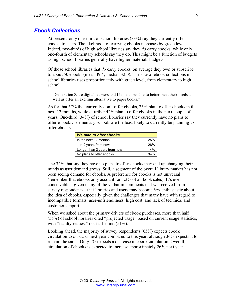#### *Ebook Collections*

At present, only one-third of school libraries (33%) say they currently offer ebooks to users. The likelihood of carrying ebooks increases by grade level. Indeed, two-thirds of high school libraries say they *do* carry ebooks, while only one-fourth of elementary schools say they do. This might be a function of budgets as high school libraries generally have higher materials budgets.

Of those school libraries that *do* carry ebooks, on average they own or subscribe to about 50 ebooks (mean 49.4; median 32.0). The size of ebook collections in school libraries rises proportionately with grade level, from elementary to high school.

"Generation Z are digital learners and I hope to be able to better meet their needs as well as offer an exciting alternative to paper books."

As for that 67% that currently don't offer ebooks, 25% plan to offer ebooks in the next 12 months, while a further 42% plan to offer ebooks in the next couple of years. One-third (34%) of school libraries say they currently have no plans to offer e-books. Elementary schools are the least likely to currently be planning to offer ebooks.

| We plan to offer ebooks      |     |
|------------------------------|-----|
| In the next 12 months        | 25% |
| 1 to 2 years from now        | 28% |
| Longer than 2 years from now | 14% |
| No plans to offer ebooks     | 34% |

The 34% that say they have no plans to offer ebooks may end up changing their minds as user demand grows. Still, a segment of the overall library market has not been seeing demand for ebooks. A preference for ebooks is not universal (remember that ebooks only account for 1.3% of all book sales). It's even conceivable—given many of the verbatim comments that we received from survey respondents—that libraries and users may become *less* enthusiastic about the idea of ebooks, especially given the challenges that many have with regard to incompatible formats, user-unfriendliness, high cost, and lack of technical and customer support.

When we asked about the primary drivers of ebook purchases, more than half (55%) of school libraries cited "projected usage" based on current usage statistics, with "faculty request" not far behind (51%).

Looking ahead, the majority of survey respondents (65%) expects ebook circulation to *increase* next year compared to this year, although 34% expects it to remain the same. Only 1% expects a decrease in ebook circulation. Overall, circulation of ebooks is expected to increase approximately 26% next year.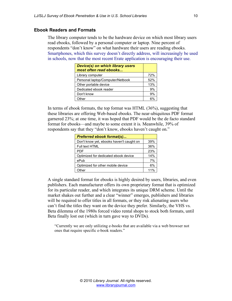#### **Ebook Readers and Formats**

The library computer tends to be the hardware device on which most library users read ebooks, followed by a personal computer or laptop. Nine percent of respondents "don't know" on what hardware their users are reading ebooks. Smartphones, which this survey doesn't directly address, will increasingly be used in schools, now that the most recent Erate application is encouraging their use.

| Device(s) on which library users<br>most often read ebooks |     |
|------------------------------------------------------------|-----|
| Library computer                                           | 72% |
| Personal laptop/Computer/Netbook                           | 52% |
| Other portable device                                      | 13% |
| Dedicated ebook reader                                     | 9%  |
| Don't know                                                 | 9%  |
| Other                                                      | 6%  |

In terms of ebook formats, the top format was HTML (36%), suggesting that these libraries are offering Web-based ebooks. The near-ubiquitous PDF format garnered 23%; at one time, it was hoped that PDF would be the de facto standard format for ebooks—and maybe to some extent it is. Meanwhile, 39% of respondents say that they "don't know, ebooks haven't caught on."

| <b>Preferred ebook format(s)</b>         |     |
|------------------------------------------|-----|
| Don't know yet, ebooks haven't caught on | 39% |
| <b>Full text HTML</b>                    | 36% |
| <b>PDF</b>                               | 23% |
| Optimized for dedicated ebook device     | 14% |
| ePub                                     | 7%  |
| Optimized for other mobile device        | 6%  |
| ⊃ther                                    | 11% |

A single standard format for ebooks is highly desired by users, libraries, and even publishers. Each manufacturer offers its own proprietary format that is optimized for its particular reader, and which integrates its unique DRM scheme. Until the market shakes out further and a clear "winner" emerges, publishers and libraries will be required to offer titles in all formats, or they risk alienating users who can't find the titles they want on the device they prefer. Similarly, the VHS vs. Beta dilemma of the 1980s forced video rental shops to stock both formats, until Beta finally lost out (which in turn gave way to DVDs).

"Currently we are only utilizing e-books that are available via a web browser not ones that require specific e-book readers."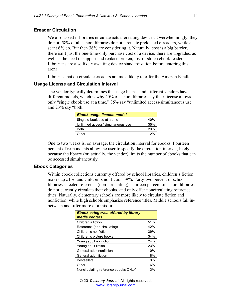#### **Ereader Circulation**

We also asked if libraries circulate actual ereading devices. Overwhelmingly, they do not; 58% of all school libraries do not circulate preloaded e-readers, while a scant 6% do. But then 36% are considering it. Naturally, cost is a big barrier; there isn't just the one-time-only purchase cost of a device. there are upgrades, as well as the need to support and replace broken, lost or stolen ebook readers. Librarians are also likely awaiting device standardization before entering this arena.

Libraries that do circulate ereaders are most likely to offer the Amazon Kindle.

#### **Usage License and Circulation Interval**

The vendor typically determines the usage license and different vendors have different models, which is why 40% of school libraries say their license allows only "single ebook use at a time," 35% say "unlimited access/simultaneous use" and 23% say "both."

| Ebook usage license model          |     |
|------------------------------------|-----|
| Single e-book use at a time        | 40% |
| Unlimited access/ simultaneous use | 35% |
| Both                               | 23% |
| Other                              | 2%  |

One to two weeks is, on average, the circulation interval for ebooks. Fourteen percent of respondents allow the user to specify the circulation interval, likely because the library (or, actually, the vendor) limits the number of ebooks that can be accessed simultaneously.

#### **Ebook Categories**

Within ebook collections currently offered by school libraries, children's fiction makes up 51%, and children's nonfiction 39%. Forty-two percent of school libraries selected reference (non-circulating). Thirteen percent of school libraries do not currently circulate their ebooks, and only offer noncirculating reference titles. Naturally, elementary schools are more likely to circulate fiction and nonfiction, while high schools emphasize reference titles. Middle schools fall inbetween and offer more of a mixture.

| <b>Ebook categories offered by library</b><br>media centers |     |
|-------------------------------------------------------------|-----|
| Children's fiction                                          | 51% |
| Reference (non-circulating)                                 | 42% |
| Children's nonfiction                                       | 39% |
| Children's picture books                                    | 34% |
| Young adult nonfiction                                      | 24% |
| Young adult fiction                                         | 23% |
| General adult nonfiction                                    | 10% |
| General adult fiction                                       | 8%  |
| <b>Bestsellers</b>                                          | 3%  |
| Other                                                       | 6%  |
| Noncirculating reference ebooks ONLY                        | 13% |